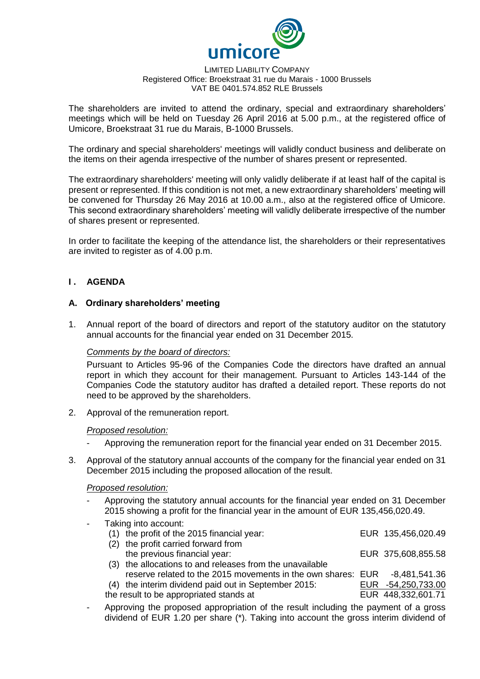

#### LIMITED LIABILITY COMPANY Registered Office: Broekstraat 31 rue du Marais - 1000 Brussels VAT BE 0401.574.852 RLE Brussels

The shareholders are invited to attend the ordinary, special and extraordinary shareholders' meetings which will be held on Tuesday 26 April 2016 at 5.00 p.m., at the registered office of Umicore, Broekstraat 31 rue du Marais, B-1000 Brussels.

The ordinary and special shareholders' meetings will validly conduct business and deliberate on the items on their agenda irrespective of the number of shares present or represented.

The extraordinary shareholders' meeting will only validly deliberate if at least half of the capital is present or represented. If this condition is not met, a new extraordinary shareholders' meeting will be convened for Thursday 26 May 2016 at 10.00 a.m., also at the registered office of Umicore. This second extraordinary shareholders' meeting will validly deliberate irrespective of the number of shares present or represented.

In order to facilitate the keeping of the attendance list, the shareholders or their representatives are invited to register as of 4.00 p.m.

## **I . AGENDA**

## **A. Ordinary shareholders' meeting**

1. Annual report of the board of directors and report of the statutory auditor on the statutory annual accounts for the financial year ended on 31 December 2015.

## *Comments by the board of directors:*

Pursuant to Articles 95-96 of the Companies Code the directors have drafted an annual report in which they account for their management. Pursuant to Articles 143-144 of the Companies Code the statutory auditor has drafted a detailed report. These reports do not need to be approved by the shareholders.

2. Approval of the remuneration report.

#### *Proposed resolution:*

- Approving the remuneration report for the financial year ended on 31 December 2015.
- 3. Approval of the statutory annual accounts of the company for the financial year ended on 31 December 2015 including the proposed allocation of the result.

#### *Proposed resolution:*

- Approving the statutory annual accounts for the financial year ended on 31 December 2015 showing a profit for the financial year in the amount of EUR 135,456,020.49.
- Taking into account: (1) the profit of the 2015 financial year: EUR 135,456,020.49 (2) the profit carried forward from
	- the previous financial year: EUR 375,608,855.58 (3) the allocations to and releases from the unavailable reserve related to the 2015 movements in the own shares: EUR -8,481,541.36 (4) the interim dividend paid out in September 2015: EUR -54,250,733.00
	- the result to be appropriated stands at EUR 448,332,601.71
- 
- Approving the proposed appropriation of the result including the payment of a gross dividend of EUR 1.20 per share (\*). Taking into account the gross interim dividend of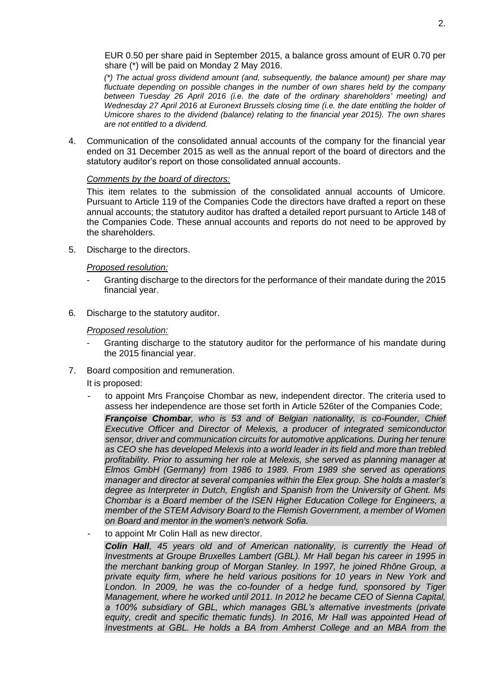EUR 0.50 per share paid in September 2015, a balance gross amount of EUR 0.70 per share (\*) will be paid on Monday 2 May 2016.

*(\*) The actual gross dividend amount (and, subsequently, the balance amount) per share may fluctuate depending on possible changes in the number of own shares held by the company between Tuesday 26 April 2016 (i.e. the date of the ordinary shareholders' meeting) and Wednesday 27 April 2016 at Euronext Brussels closing time (i.e. the date entitling the holder of Umicore shares to the dividend (balance) relating to the financial year 2015). The own shares are not entitled to a dividend.*

4. Communication of the consolidated annual accounts of the company for the financial year ended on 31 December 2015 as well as the annual report of the board of directors and the statutory auditor's report on those consolidated annual accounts.

### *Comments by the board of directors:*

This item relates to the submission of the consolidated annual accounts of Umicore. Pursuant to Article 119 of the Companies Code the directors have drafted a report on these annual accounts; the statutory auditor has drafted a detailed report pursuant to Article 148 of the Companies Code. These annual accounts and reports do not need to be approved by the shareholders.

5. Discharge to the directors.

## *Proposed resolution:*

- Granting discharge to the directors for the performance of their mandate during the 2015 financial year.
- 6. Discharge to the statutory auditor.

#### *Proposed resolution:*

- Granting discharge to the statutory auditor for the performance of his mandate during the 2015 financial year.
- 7. Board composition and remuneration.

It is proposed:

- to appoint Mrs Françoise Chombar as new, independent director. The criteria used to assess her independence are those set forth in Article 526ter of the Companies Code;

*Françoise Chombar, who is 53 and of Belgian nationality, is co-Founder, Chief Executive Officer and Director of Melexis, a producer of integrated semiconductor sensor, driver and communication circuits for automotive applications. During her tenure as CEO she has developed Melexis into a world leader in its field and more than trebled profitability. Prior to assuming her role at Melexis, she served as planning manager at Elmos GmbH (Germany) from 1986 to 1989. From 1989 she served as operations manager and director at several companies within the Elex group. She holds a master's degree as Interpreter in Dutch, English and Spanish from the University of Ghent. Ms Chombar is a Board member of the ISEN Higher Education College for Engineers, a member of the STEM Advisory Board to the Flemish Government, a member of Women on Board and mentor in the women's network Sofia.*

to appoint Mr Colin Hall as new director.

*Colin Hall, 45 years old and of American nationality, is currently the Head of Investments at Groupe Bruxelles Lambert (GBL). Mr Hall began his career in 1995 in the merchant banking group of Morgan Stanley. In 1997, he joined Rhône Group, a private equity firm, where he held various positions for 10 years in New York and*  London. In 2009, he was the co-founder of a hedge fund, sponsored by Tiger *Management, where he worked until 2011. In 2012 he became CEO of Sienna Capital, a 100% subsidiary of GBL, which manages GBL's alternative investments (private equity, credit and specific thematic funds). In 2016, Mr Hall was appointed Head of Investments at GBL. He holds a BA from Amherst College and an MBA from the*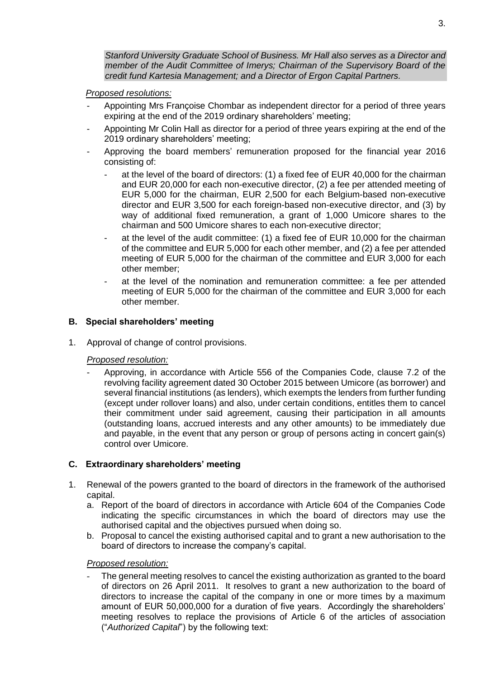*Stanford University Graduate School of Business. Mr Hall also serves as a Director and member of the Audit Committee of Imerys; Chairman of the Supervisory Board of the credit fund Kartesia Management; and a Director of Ergon Capital Partners.*

## *Proposed resolutions:*

- Appointing Mrs Françoise Chombar as independent director for a period of three years expiring at the end of the 2019 ordinary shareholders' meeting;
- Appointing Mr Colin Hall as director for a period of three years expiring at the end of the 2019 ordinary shareholders' meeting;
- Approving the board members' remuneration proposed for the financial year 2016 consisting of:
	- at the level of the board of directors: (1) a fixed fee of EUR 40,000 for the chairman and EUR 20,000 for each non-executive director, (2) a fee per attended meeting of EUR 5,000 for the chairman, EUR 2,500 for each Belgium-based non-executive director and EUR 3,500 for each foreign-based non-executive director, and (3) by way of additional fixed remuneration, a grant of 1,000 Umicore shares to the chairman and 500 Umicore shares to each non-executive director;
	- at the level of the audit committee: (1) a fixed fee of EUR 10,000 for the chairman of the committee and EUR 5,000 for each other member, and (2) a fee per attended meeting of EUR 5,000 for the chairman of the committee and EUR 3,000 for each other member;
	- at the level of the nomination and remuneration committee: a fee per attended meeting of EUR 5,000 for the chairman of the committee and EUR 3,000 for each other member.

# **B. Special shareholders' meeting**

1. Approval of change of control provisions.

## *Proposed resolution:*

- Approving, in accordance with Article 556 of the Companies Code, clause 7.2 of the revolving facility agreement dated 30 October 2015 between Umicore (as borrower) and several financial institutions (as lenders), which exempts the lenders from further funding (except under rollover loans) and also, under certain conditions, entitles them to cancel their commitment under said agreement, causing their participation in all amounts (outstanding loans, accrued interests and any other amounts) to be immediately due and payable, in the event that any person or group of persons acting in concert gain(s) control over Umicore.

# **C. Extraordinary shareholders' meeting**

- 1. Renewal of the powers granted to the board of directors in the framework of the authorised capital.
	- a. Report of the board of directors in accordance with Article 604 of the Companies Code indicating the specific circumstances in which the board of directors may use the authorised capital and the objectives pursued when doing so.
	- b. Proposal to cancel the existing authorised capital and to grant a new authorisation to the board of directors to increase the company's capital.

## *Proposed resolution:*

The general meeting resolves to cancel the existing authorization as granted to the board of directors on 26 April 2011. It resolves to grant a new authorization to the board of directors to increase the capital of the company in one or more times by a maximum amount of EUR 50,000,000 for a duration of five years. Accordingly the shareholders' meeting resolves to replace the provisions of Article 6 of the articles of association ("*Authorized Capital*") by the following text: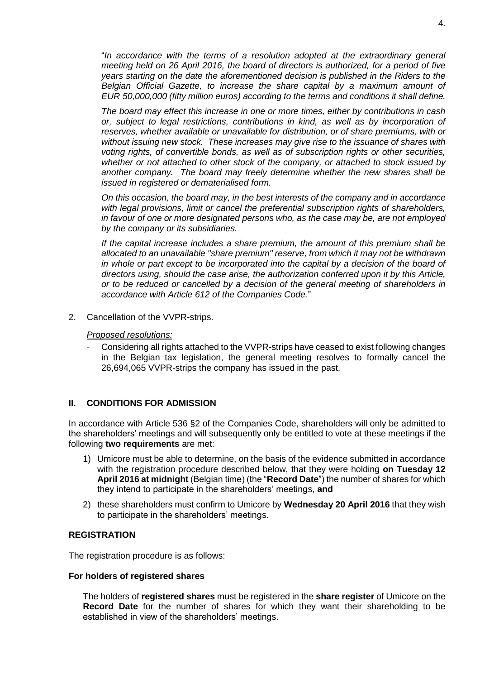"*In accordance with the terms of a resolution adopted at the extraordinary general meeting held on 26 April 2016, the board of directors is authorized, for a period of five years starting on the date the aforementioned decision is published in the Riders to the Belgian Official Gazette, to increase the share capital by a maximum amount of EUR 50,000,000 (fifty million euros) according to the terms and conditions it shall define.*

*The board may effect this increase in one or more times, either by contributions in cash or, subject to legal restrictions, contributions in kind, as well as by incorporation of reserves, whether available or unavailable for distribution, or of share premiums, with or without issuing new stock. These increases may give rise to the issuance of shares with voting rights, of convertible bonds, as well as of subscription rights or other securities, whether or not attached to other stock of the company, or attached to stock issued by another company. The board may freely determine whether the new shares shall be issued in registered or dematerialised form.* 

*On this occasion, the board may, in the best interests of the company and in accordance with legal provisions, limit or cancel the preferential subscription rights of shareholders, in favour of one or more designated persons who, as the case may be, are not employed by the company or its subsidiaries.*

*If the capital increase includes a share premium, the amount of this premium shall be allocated to an unavailable "share premium" reserve, from which it may not be withdrawn*  in whole or part except to be incorporated into the capital by a decision of the board of *directors using, should the case arise, the authorization conferred upon it by this Article, or to be reduced or cancelled by a decision of the general meeting of shareholders in accordance with Article 612 of the Companies Code.*"

2. Cancellation of the VVPR-strips.

### *Proposed resolutions:*

- Considering all rights attached to the VVPR-strips have ceased to exist following changes in the Belgian tax legislation, the general meeting resolves to formally cancel the 26,694,065 VVPR-strips the company has issued in the past.

## **II. CONDITIONS FOR ADMISSION**

In accordance with Article 536 §2 of the Companies Code, shareholders will only be admitted to the shareholders' meetings and will subsequently only be entitled to vote at these meetings if the following **two requirements** are met:

- 1) Umicore must be able to determine, on the basis of the evidence submitted in accordance with the registration procedure described below, that they were holding **on Tuesday 12 April 2016 at midnight** (Belgian time) (the "**Record Date**") the number of shares for which they intend to participate in the shareholders' meetings, **and**
- 2) these shareholders must confirm to Umicore by **Wednesday 20 April 2016** that they wish to participate in the shareholders' meetings.

## **REGISTRATION**

The registration procedure is as follows:

#### **For holders of registered shares**

The holders of **registered shares** must be registered in the **share register** of Umicore on the **Record Date** for the number of shares for which they want their shareholding to be established in view of the shareholders' meetings.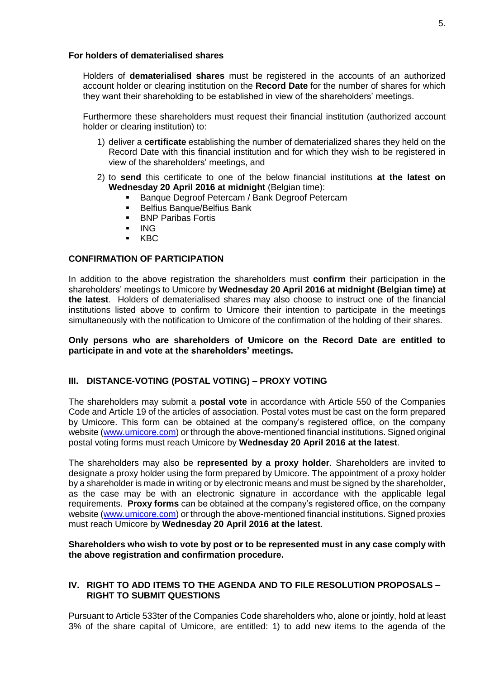### **For holders of dematerialised shares**

Holders of **dematerialised shares** must be registered in the accounts of an authorized account holder or clearing institution on the **Record Date** for the number of shares for which they want their shareholding to be established in view of the shareholders' meetings.

Furthermore these shareholders must request their financial institution (authorized account holder or clearing institution) to:

- 1) deliver a **certificate** establishing the number of dematerialized shares they held on the Record Date with this financial institution and for which they wish to be registered in view of the shareholders' meetings, and
- 2) to **send** this certificate to one of the below financial institutions **at the latest on Wednesday 20 April 2016 at midnight** (Belgian time):
	- Banque Degroof Petercam / Bank Degroof Petercam
	- **Belfius Banque/Belfius Bank**
	- **BNP Paribas Fortis**
	- $\blacksquare$  ING
	- KBC

## **CONFIRMATION OF PARTICIPATION**

In addition to the above registration the shareholders must **confirm** their participation in the shareholders' meetings to Umicore by **Wednesday 20 April 2016 at midnight (Belgian time) at the latest**. Holders of dematerialised shares may also choose to instruct one of the financial institutions listed above to confirm to Umicore their intention to participate in the meetings simultaneously with the notification to Umicore of the confirmation of the holding of their shares.

### **Only persons who are shareholders of Umicore on the Record Date are entitled to participate in and vote at the shareholders' meetings.**

## **III. DISTANCE-VOTING (POSTAL VOTING) – PROXY VOTING**

The shareholders may submit a **postal vote** in accordance with Article 550 of the Companies Code and Article 19 of the articles of association. Postal votes must be cast on the form prepared by Umicore. This form can be obtained at the company's registered office, on the company website [\(www.umicore.com\)](file://///thalia/COMPSEC/AGM%20-%20EGM/AGM/2014/Convening%20Notices/www.umicore.com) or through the above-mentioned financial institutions. Signed original postal voting forms must reach Umicore by **Wednesday 20 April 2016 at the latest**.

The shareholders may also be **represented by a proxy holder**. Shareholders are invited to designate a proxy holder using the form prepared by Umicore. The appointment of a proxy holder by a shareholder is made in writing or by electronic means and must be signed by the shareholder, as the case may be with an electronic signature in accordance with the applicable legal requirements. **Proxy forms** can be obtained at the company's registered office, on the company website [\(www.umicore.com\)](file://///thalia/COMPSEC/AGM%20-%20EGM/AGM/2014/Convening%20Notices/www.umicore.com) or through the above-mentioned financial institutions. Signed proxies must reach Umicore by **Wednesday 20 April 2016 at the latest**.

### **Shareholders who wish to vote by post or to be represented must in any case comply with the above registration and confirmation procedure.**

## **IV. RIGHT TO ADD ITEMS TO THE AGENDA AND TO FILE RESOLUTION PROPOSALS – RIGHT TO SUBMIT QUESTIONS**

Pursuant to Article 533ter of the Companies Code shareholders who, alone or jointly, hold at least 3% of the share capital of Umicore, are entitled: 1) to add new items to the agenda of the